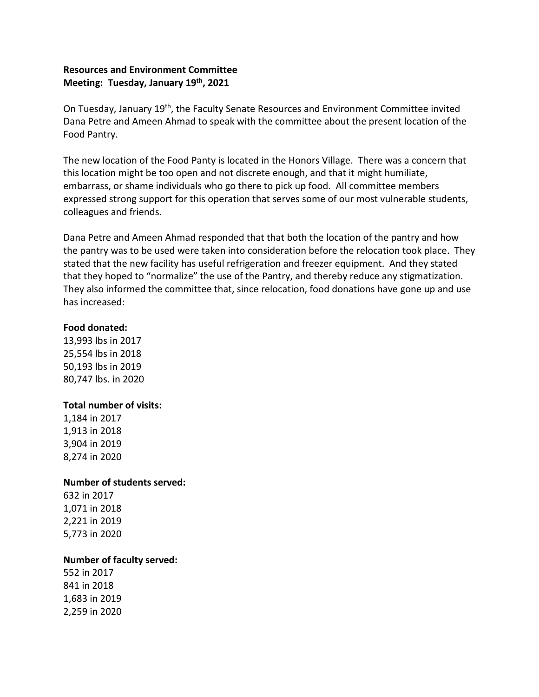# **Resources and Environment Committee Meeting: Tuesday, January 19th, 2021**

On Tuesday, January 19<sup>th</sup>, the Faculty Senate Resources and Environment Committee invited Dana Petre and Ameen Ahmad to speak with the committee about the present location of the Food Pantry.

The new location of the Food Panty is located in the Honors Village. There was a concern that this location might be too open and not discrete enough, and that it might humiliate, embarrass, or shame individuals who go there to pick up food. All committee members expressed strong support for this operation that serves some of our most vulnerable students, colleagues and friends.

Dana Petre and Ameen Ahmad responded that that both the location of the pantry and how the pantry was to be used were taken into consideration before the relocation took place. They stated that the new facility has useful refrigeration and freezer equipment. And they stated that they hoped to "normalize" the use of the Pantry, and thereby reduce any stigmatization. They also informed the committee that, since relocation, food donations have gone up and use has increased:

### **Food donated:**

13,993 lbs in 2017 25,554 lbs in 2018 50,193 lbs in 2019 80,747 lbs. in 2020

## **Total number of visits:**

1,184 in 2017 1,913 in 2018 3,904 in 2019 8,274 in 2020

## **Number of students served:**

632 in 2017 1,071 in 2018 2,221 in 2019 5,773 in 2020

## **Number of faculty served:**

552 in 2017 841 in 2018 1,683 in 2019 2,259 in 2020